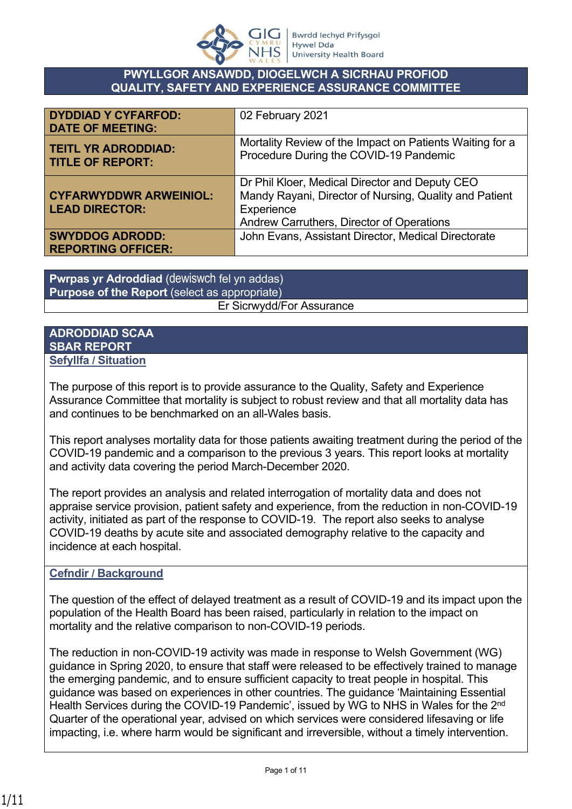

#### **PWYLLGOR ANSAWDD, DIOGELWCH A SICRHAU PROFIOD QUALITY, SAFETY AND EXPERIENCE ASSURANCE COMMITTEE**

| <b>DYDDIAD Y CYFARFOD:</b><br><b>DATE OF MEETING:</b>  | 02 February 2021                                                                                                                                                    |
|--------------------------------------------------------|---------------------------------------------------------------------------------------------------------------------------------------------------------------------|
| <b>TEITL YR ADRODDIAD:</b><br><b>TITLE OF REPORT:</b>  | Mortality Review of the Impact on Patients Waiting for a<br>Procedure During the COVID-19 Pandemic                                                                  |
| <b>CYFARWYDDWR ARWEINIOL:</b><br><b>LEAD DIRECTOR:</b> | Dr Phil Kloer, Medical Director and Deputy CEO<br>Mandy Rayani, Director of Nursing, Quality and Patient<br>Experience<br>Andrew Carruthers, Director of Operations |
| <b>SWYDDOG ADRODD:</b><br><b>REPORTING OFFICER:</b>    | John Evans, Assistant Director, Medical Directorate                                                                                                                 |

**Pwrpas yr Adroddiad** (dewiswch fel yn addas) **Purpose of the Report** (select as appropriate) Er Sicrwydd/For Assurance

#### **ADRODDIAD SCAA SBAR REPORT Sefyllfa / Situation**

The purpose of this report is to provide assurance to the Quality, Safety and Experience Assurance Committee that mortality is subject to robust review and that all mortality data has and continues to be benchmarked on an all-Wales basis.

This report analyses mortality data for those patients awaiting treatment during the period of the COVID-19 pandemic and a comparison to the previous 3 years. This report looks at mortality and activity data covering the period March-December 2020.

The report provides an analysis and related interrogation of mortality data and does not appraise service provision, patient safety and experience, from the reduction in non-COVID-19 activity, initiated as part of the response to COVID-19. The report also seeks to analyse COVID-19 deaths by acute site and associated demography relative to the capacity and incidence at each hospital.

### **Cefndir / Background**

The question of the effect of delayed treatment as a result of COVID-19 and its impact upon the population of the Health Board has been raised, particularly in relation to the impact on mortality and the relative comparison to non-COVID-19 periods.

The reduction in non-COVID-19 activity was made in response to Welsh Government (WG) guidance in Spring 2020, to ensure that staff were released to be effectively trained to manage the emerging pandemic, and to ensure sufficient capacity to treat people in hospital. This guidance was based on experiences in other countries. The guidance 'Maintaining Essential Health Services during the COVID-19 Pandemic', issued by WG to NHS in Wales for the 2<sup>nd</sup> Quarter of the operational year, advised on which services were considered lifesaving or life impacting, i.e. where harm would be significant and irreversible, without a timely intervention.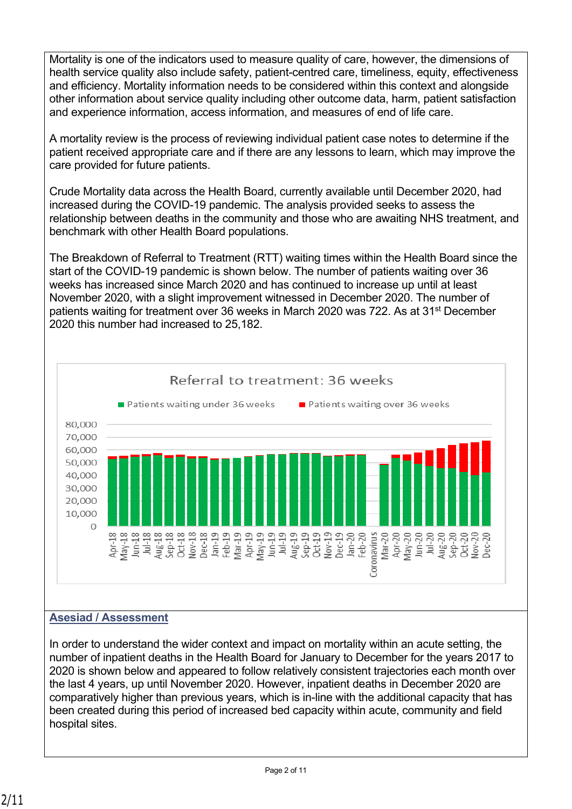Mortality is one of the indicators used to measure quality of care, however, the dimensions of health service quality also include safety, patient-centred care, timeliness, equity, effectiveness and efficiency. Mortality information needs to be considered within this context and alongside other information about service quality including other outcome data, harm, patient satisfaction and experience information, access information, and measures of end of life care.

A mortality review is the process of reviewing individual patient case notes to determine if the patient received appropriate care and if there are any lessons to learn, which may improve the care provided for future patients.

Crude Mortality data across the Health Board, currently available until December 2020, had increased during the COVID-19 pandemic. The analysis provided seeks to assess the relationship between deaths in the community and those who are awaiting NHS treatment, and benchmark with other Health Board populations.

The Breakdown of Referral to Treatment (RTT) waiting times within the Health Board since the start of the COVID-19 pandemic is shown below. The number of patients waiting over 36 weeks has increased since March 2020 and has continued to increase up until at least November 2020, with a slight improvement witnessed in December 2020. The number of patients waiting for treatment over 36 weeks in March 2020 was 722. As at 31st December 2020 this number had increased to 25,182.



# **Asesiad / Assessment**

In order to understand the wider context and impact on mortality within an acute setting, the number of inpatient deaths in the Health Board for January to December for the years 2017 to 2020 is shown below and appeared to follow relatively consistent trajectories each month over the last 4 years, up until November 2020. However, inpatient deaths in December 2020 are comparatively higher than previous years, which is in-line with the additional capacity that has been created during this period of increased bed capacity within acute, community and field hospital sites.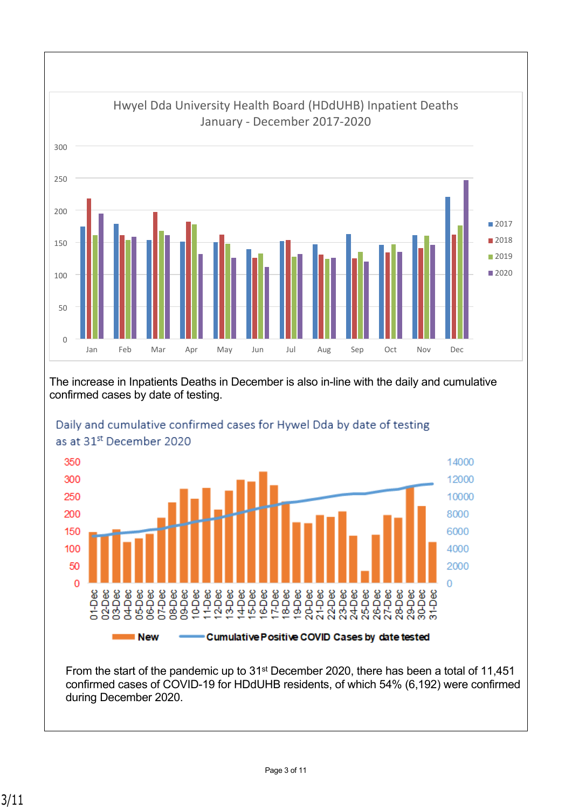

#### The increase in Inpatients Deaths in December is also in-line with the daily and cumulative confirmed cases by date of testing.



# Daily and cumulative confirmed cases for Hywel Dda by date of testing as at 31st December 2020

From the start of the pandemic up to 31<sup>st</sup> December 2020, there has been a total of 11,451 confirmed cases of COVID-19 for HDdUHB residents, of which 54% (6,192) were confirmed during December 2020.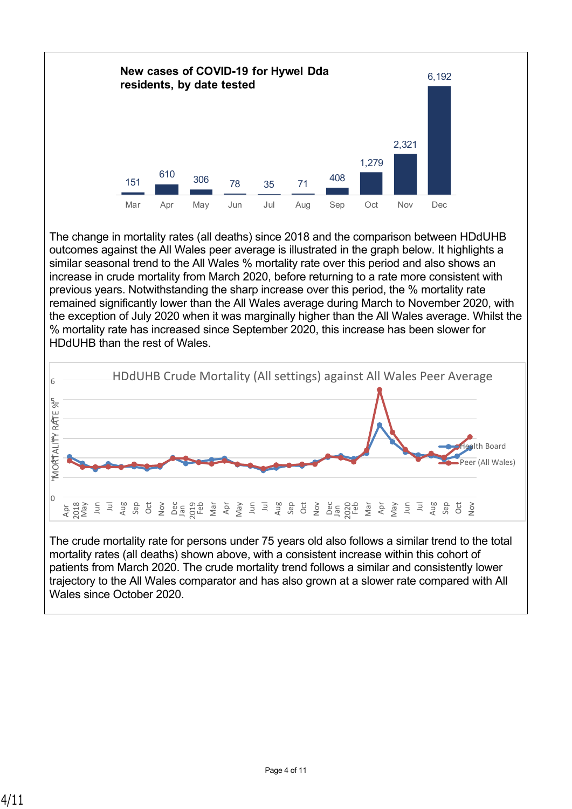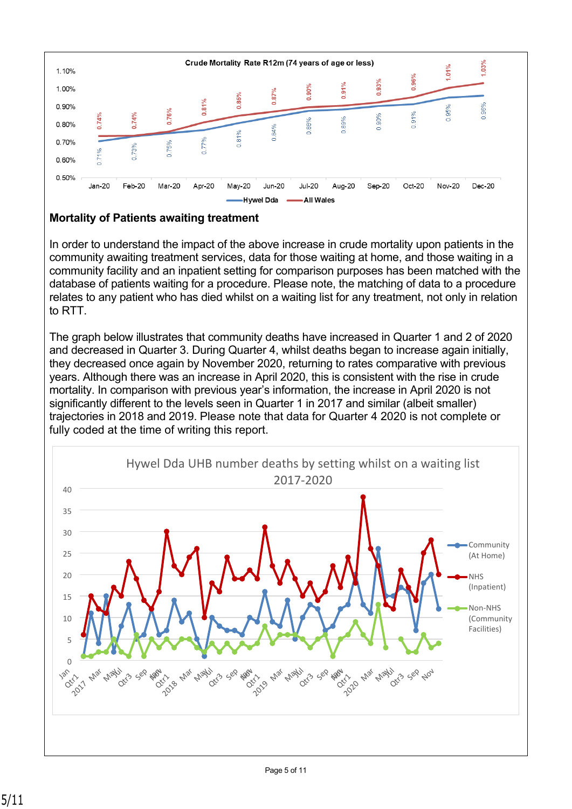

### **Mortality of Patients awaiting treatment**

In order to understand the impact of the above increase in crude mortality upon patients in the community awaiting treatment services, data for those waiting at home, and those waiting in a community facility and an inpatient setting for comparison purposes has been matched with the database of patients waiting for a procedure. Please note, the matching of data to a procedure relates to any patient who has died whilst on a waiting list for any treatment, not only in relation to RTT.

The graph below illustrates that community deaths have increased in Quarter 1 and 2 of 2020 and decreased in Quarter 3. During Quarter 4, whilst deaths began to increase again initially, they decreased once again by November 2020, returning to rates comparative with previous years. Although there was an increase in April 2020, this is consistent with the rise in crude mortality. In comparison with previous year's information, the increase in April 2020 is not significantly different to the levels seen in Quarter 1 in 2017 and similar (albeit smaller) trajectories in 2018 and 2019. Please note that data for Quarter 4 2020 is not complete or fully coded at the time of writing this report.

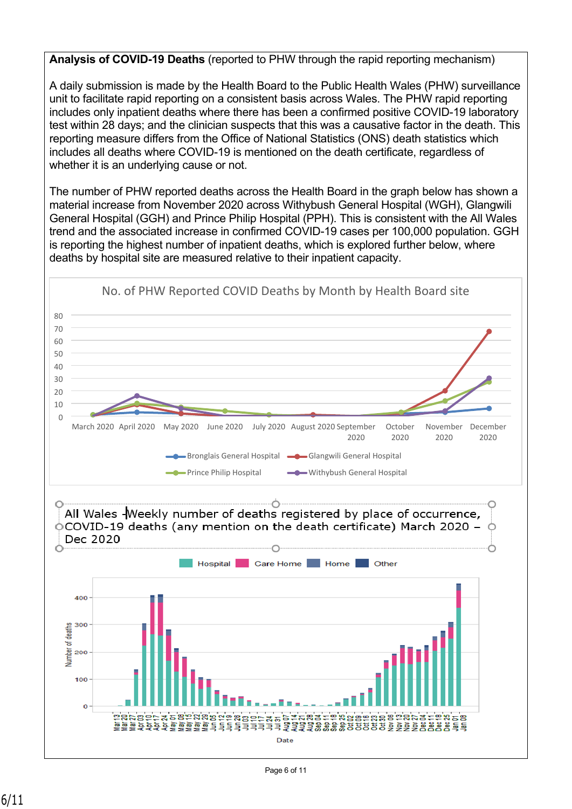### **Analysis of COVID-19 Deaths** (reported to PHW through the rapid reporting mechanism)

A daily submission is made by the Health Board to the Public Health Wales (PHW) surveillance unit to facilitate rapid reporting on a consistent basis across Wales. The PHW rapid reporting includes only inpatient deaths where there has been a confirmed positive COVID-19 laboratory test within 28 days; and the clinician suspects that this was a causative factor in the death. This reporting measure differs from the Office of National Statistics (ONS) death statistics which includes all deaths where COVID-19 is mentioned on the death certificate, regardless of whether it is an underlying cause or not.

The number of PHW reported deaths across the Health Board in the graph below has shown a material increase from November 2020 across Withybush General Hospital (WGH), Glangwili General Hospital (GGH) and Prince Philip Hospital (PPH). This is consistent with the All Wales trend and the associated increase in confirmed COVID-19 cases per 100,000 population. GGH is reporting the highest number of inpatient deaths, which is explored further below, where deaths by hospital site are measured relative to their inpatient capacity.

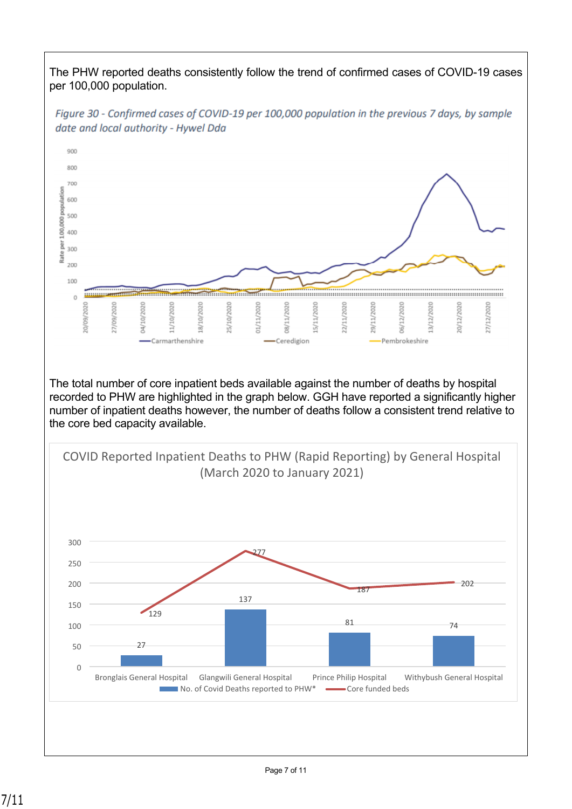The PHW reported deaths consistently follow the trend of confirmed cases of COVID-19 cases per 100,000 population.



Figure 30 - Confirmed cases of COVID-19 per 100,000 population in the previous 7 days, by sample date and local authority - Hywel Dda

The total number of core inpatient beds available against the number of deaths by hospital recorded to PHW are highlighted in the graph below. GGH have reported a significantly higher number of inpatient deaths however, the number of deaths follow a consistent trend relative to the core bed capacity available.

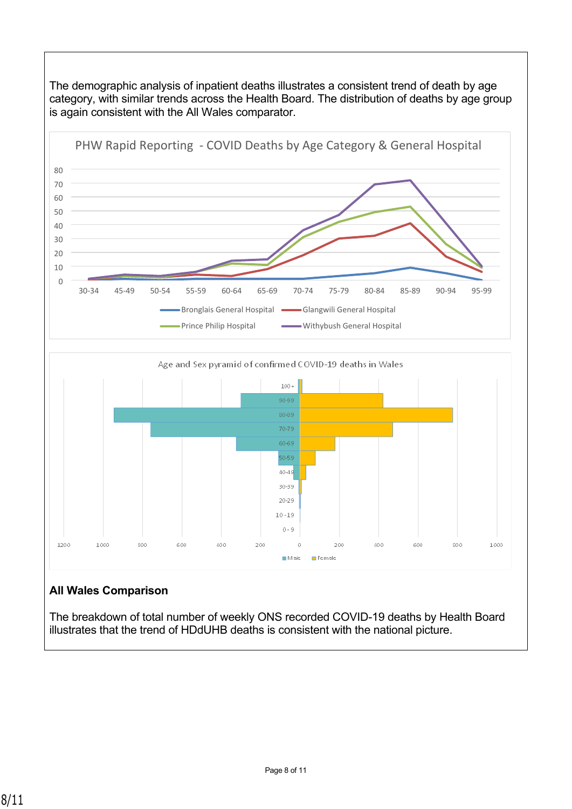

The breakdown of total number of weekly ONS recorded COVID-19 deaths by Health Board illustrates that the trend of HDdUHB deaths is consistent with the national picture.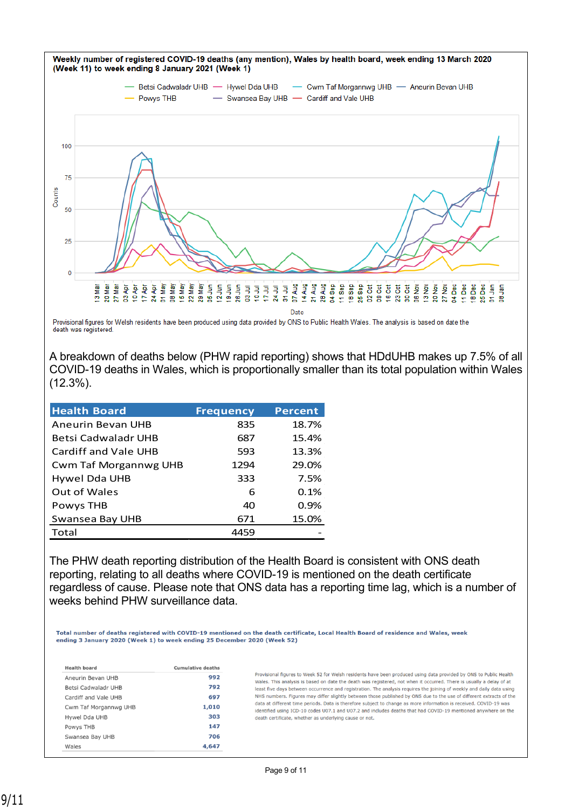

Provisional figures for Welsh residents have been produced using data provided by ONS to Public Health Wales. The analysis is based on date the death was registered.

A breakdown of deaths below (PHW rapid reporting) shows that HDdUHB makes up 7.5% of all COVID-19 deaths in Wales, which is proportionally smaller than its total population within Wales (12.3%).

| <b>Health Board</b>          | <b>Frequency</b> | <b>Percent</b> |
|------------------------------|------------------|----------------|
| Aneurin Bevan UHB            | 835              | 18.7%          |
| Betsi Cadwaladr UHB          | 687              | 15.4%          |
| <b>Cardiff and Vale UHB</b>  | 593              | 13.3%          |
| <b>Cwm Taf Morgannwg UHB</b> | 1294             | 29.0%          |
| Hywel Dda UHB                | 333              | 7.5%           |
| <b>Out of Wales</b>          | 6                | 0.1%           |
| Powys THB                    | 40               | 0.9%           |
| Swansea Bay UHB              | 671              | 15.0%          |
| Total                        | 4459             |                |

The PHW death reporting distribution of the Health Board is consistent with ONS death reporting, relating to all deaths where COVID-19 is mentioned on the death certificate regardless of cause. Please note that ONS data has a reporting time lag, which is a number of weeks behind PHW surveillance data.

Total number of deaths registered with COVID-19 mentioned on the death certificate, Local Health Board of residence and Wales, week ending 3 January 2020 (Week 1) to week ending 25 December 2020 (Week 52)

| <b>Health board</b>   | <b>Cumulative deaths</b> |
|-----------------------|--------------------------|
| Aneurin Bevan UHB     | 992                      |
| Betsi Cadwaladr UHB   | 792                      |
| Cardiff and Vale UHB  | 697                      |
| Cwm Taf Morgannwg UHB | 1,010                    |
| Hywel Dda UHB         | 303                      |
| Powys THB             | 147                      |
| Swansea Bay UHB       | 706                      |
| Wales                 | 4,647                    |

Provisional figures to Week 52 for Welsh residents have been produced using data provided by ONS to Public Health Wales. This analysis is based on date the death was registered, not when it occurred. There is usually a delay of at least five days between occurrence and registration. The analysis requires the joining of weekly and daily data using NHS numbers. Figures may differ slightly between those published by ONS due to the use of different extracts of the data at different time periods. Data is therefore subject to change as more information is received. COVID-19 was identified using ICD-10 codes U07.1 and U07.2 and includes deaths that had COVID-19 mentioned anywhere on the death certificate, whether as underlying cause or not.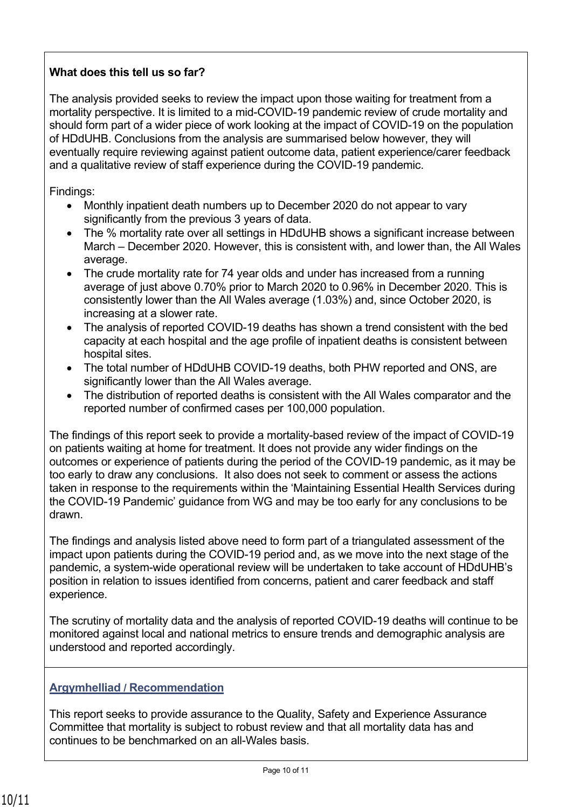# **What does this tell us so far?**

The analysis provided seeks to review the impact upon those waiting for treatment from a mortality perspective. It is limited to a mid-COVID-19 pandemic review of crude mortality and should form part of a wider piece of work looking at the impact of COVID-19 on the population of HDdUHB. Conclusions from the analysis are summarised below however, they will eventually require reviewing against patient outcome data, patient experience/carer feedback and a qualitative review of staff experience during the COVID-19 pandemic.

Findings:

- Monthly inpatient death numbers up to December 2020 do not appear to vary significantly from the previous 3 years of data.
- The % mortality rate over all settings in HDdUHB shows a significant increase between March – December 2020. However, this is consistent with, and lower than, the All Wales average.
- The crude mortality rate for 74 year olds and under has increased from a running average of just above 0.70% prior to March 2020 to 0.96% in December 2020. This is consistently lower than the All Wales average (1.03%) and, since October 2020, is increasing at a slower rate.
- The analysis of reported COVID-19 deaths has shown a trend consistent with the bed capacity at each hospital and the age profile of inpatient deaths is consistent between hospital sites.
- The total number of HDdUHB COVID-19 deaths, both PHW reported and ONS, are significantly lower than the All Wales average.
- The distribution of reported deaths is consistent with the All Wales comparator and the reported number of confirmed cases per 100,000 population.

The findings of this report seek to provide a mortality-based review of the impact of COVID-19 on patients waiting at home for treatment. It does not provide any wider findings on the outcomes or experience of patients during the period of the COVID-19 pandemic, as it may be too early to draw any conclusions. It also does not seek to comment or assess the actions taken in response to the requirements within the 'Maintaining Essential Health Services during the COVID-19 Pandemic' guidance from WG and may be too early for any conclusions to be drawn.

The findings and analysis listed above need to form part of a triangulated assessment of the impact upon patients during the COVID-19 period and, as we move into the next stage of the pandemic, a system-wide operational review will be undertaken to take account of HDdUHB's position in relation to issues identified from concerns, patient and carer feedback and staff experience.

The scrutiny of mortality data and the analysis of reported COVID-19 deaths will continue to be monitored against local and national metrics to ensure trends and demographic analysis are understood and reported accordingly.

# **Argymhelliad / Recommendation**

This report seeks to provide assurance to the Quality, Safety and Experience Assurance Committee that mortality is subject to robust review and that all mortality data has and continues to be benchmarked on an all-Wales basis.